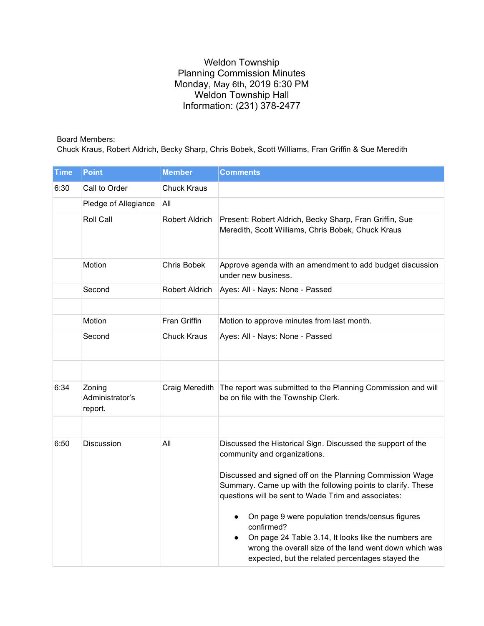## Weldon Township Planning Commission Minutes Monday, May 6th, 2019 6:30 PM Weldon Township Hall Information: (231) 378-2477

## Board Members:

Chuck Kraus, Robert Aldrich, Becky Sharp, Chris Bobek, Scott Williams, Fran Griffin & Sue Meredith

| Time | <b>Point</b>                         | <b>Member</b>      | <b>Comments</b>                                                                                                                                                                                                                                                                |
|------|--------------------------------------|--------------------|--------------------------------------------------------------------------------------------------------------------------------------------------------------------------------------------------------------------------------------------------------------------------------|
| 6:30 | Call to Order                        | <b>Chuck Kraus</b> |                                                                                                                                                                                                                                                                                |
|      | Pledge of Allegiance                 | All                |                                                                                                                                                                                                                                                                                |
|      | Roll Call                            | Robert Aldrich     | Present: Robert Aldrich, Becky Sharp, Fran Griffin, Sue<br>Meredith, Scott Williams, Chris Bobek, Chuck Kraus                                                                                                                                                                  |
|      | Motion                               | <b>Chris Bobek</b> | Approve agenda with an amendment to add budget discussion<br>under new business.                                                                                                                                                                                               |
|      | Second                               | Robert Aldrich     | Ayes: All - Nays: None - Passed                                                                                                                                                                                                                                                |
|      |                                      |                    |                                                                                                                                                                                                                                                                                |
|      | Motion                               | Fran Griffin       | Motion to approve minutes from last month.                                                                                                                                                                                                                                     |
|      | Second                               | <b>Chuck Kraus</b> | Ayes: All - Nays: None - Passed                                                                                                                                                                                                                                                |
|      |                                      |                    |                                                                                                                                                                                                                                                                                |
| 6:34 | Zoning<br>Administrator's<br>report. | Craig Meredith     | The report was submitted to the Planning Commission and will<br>be on file with the Township Clerk.                                                                                                                                                                            |
|      |                                      |                    |                                                                                                                                                                                                                                                                                |
| 6:50 | Discussion                           | All                | Discussed the Historical Sign. Discussed the support of the<br>community and organizations.<br>Discussed and signed off on the Planning Commission Wage<br>Summary. Came up with the following points to clarify. These<br>questions will be sent to Wade Trim and associates: |
|      |                                      |                    | On page 9 were population trends/census figures<br>confirmed?<br>On page 24 Table 3.14, It looks like the numbers are<br>wrong the overall size of the land went down which was<br>expected, but the related percentages stayed the                                            |